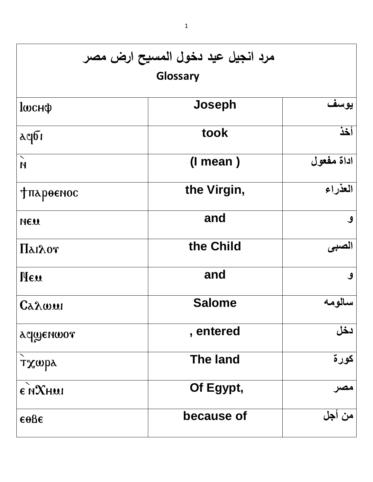| مرد انجيل عيد دخول المسيح ارض مصر<br>Glossary    |                 |            |  |  |
|--------------------------------------------------|-----------------|------------|--|--|
| <b>l</b> wcнф                                    | Joseph          | يوسف       |  |  |
| $\alpha$ qbı                                     | took            | أخذ        |  |  |
| $\boldsymbol{\times}$<br>$\overline{\mathsf{M}}$ | $(l$ mean)      | اداة مفعول |  |  |
| <b>Тпароенос</b>                                 | the Virgin,     | العذراء    |  |  |
| NEW                                              | and             | ٯ          |  |  |
| Πλιλογ                                           | the Child       | لصب        |  |  |
| Heu                                              | and             | ٯ          |  |  |
| Carwur                                           | <b>Salome</b>   | سالو مه    |  |  |
| aqwenwor                                         | , entered       | دخل        |  |  |
| тхира                                            | <b>The land</b> | كورة       |  |  |
| E NXHUI                                          | Of Egypt,       | مصر        |  |  |
| $\epsilon$ oße                                   | because of      | من أجل     |  |  |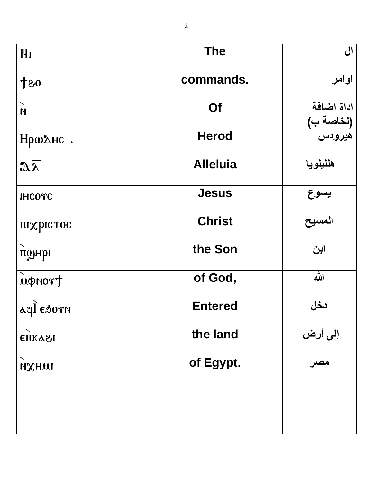| $\mathbf{H}$                                  | <b>The</b>      | ال                               |
|-----------------------------------------------|-----------------|----------------------------------|
| 08十                                           | commands.       | اوامر                            |
| $\bar{\mathbf{N}}$<br>$\overline{\mathsf{M}}$ | Of              | اداة اضافة                       |
| Нршдне.                                       | <b>Herod</b>    | <mark>(لخاصة ب)</mark><br>هيرودس |
| $\mathbf{a}\overline{\mathbf{b}}$             | <b>Alleluia</b> | هلليلويا                         |
| <b>IHCOTC</b>                                 | <b>Jesus</b>    | يسوع                             |
| піхрістос                                     | <b>Christ</b>   | المسيح                           |
| $\boldsymbol{\mathcal{N}}$<br>понрі           | the Son         | ابن                              |
| rondri                                        | of God,         | الله                             |
| acle Esorn                                    | <b>Entered</b>  | دخل                              |
| <b>ETTKA21</b>                                | the land        | إلى أرض                          |
| ╲<br>ихни                                     | of Egypt.       | مصر                              |
|                                               |                 |                                  |
|                                               |                 |                                  |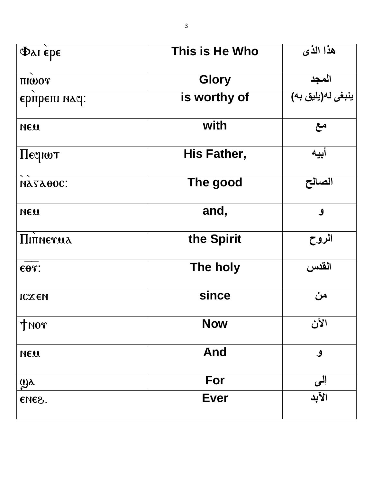| $\Phi$ as $\epsilon$ pe | This is He Who | هذا الذي          |
|-------------------------|----------------|-------------------|
| THWOT                   | <b>Glory</b>   | المجد             |
| ерпрепі насі:           | is worthy of   | ينبغى لە(يليق بە) |
| <b>NEW</b>              | with           | مع                |
| $\eta$ Equot            | His Father,    | ابيه              |
| <b>NATAOOC:</b>         | The good       | الصالح            |
| <b>NEW</b>              | and,           | $\mathcal{S}$     |
| <b>Π</b> ιπηεταλ        | the Spirit     | الروح             |
| $\epsilon$ or:          | The holy       | القدس             |
| ICXEN                   | since          | من                |
| THOT                    | <b>Now</b>     | الآن              |
| NEU                     | <b>And</b>     | $\mathcal{S}$     |
| $\mathbf{w}$            | For            | إلى               |
| ENE2.                   | <b>Ever</b>    | الأبد             |